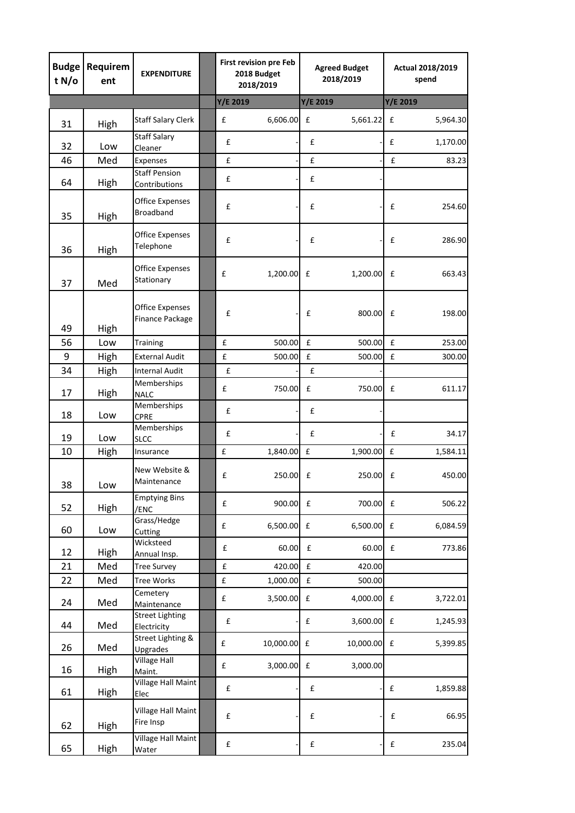| <b>Budge</b><br>t $N/\sigma$ | Requirem<br>ent | <b>EXPENDITURE</b>                               | <b>First revision pre Feb</b><br>2018 Budget<br>2018/2019 |           | <b>Agreed Budget</b><br>2018/2019 |              | Actual 2018/2019<br>spend |          |
|------------------------------|-----------------|--------------------------------------------------|-----------------------------------------------------------|-----------|-----------------------------------|--------------|---------------------------|----------|
|                              |                 |                                                  | Y/E 2019                                                  |           | Y/E 2019                          |              | Y/E 2019                  |          |
| 31                           | High            | <b>Staff Salary Clerk</b>                        | £                                                         | 6,606.00  | £                                 | 5,661.22     | £                         | 5,964.30 |
| 32                           | Low             | <b>Staff Salary</b><br>Cleaner                   | £                                                         |           | £                                 |              | £                         | 1,170.00 |
| 46                           | Med             | Expenses                                         | £                                                         |           | £                                 |              | £                         | 83.23    |
| 64                           | High            | <b>Staff Pension</b><br>Contributions            | £                                                         |           | £                                 |              |                           |          |
| 35                           | High            | <b>Office Expenses</b><br><b>Broadband</b>       | £                                                         |           | £                                 |              | £                         | 254.60   |
|                              |                 | Office Expenses                                  | £                                                         |           | £                                 |              | £                         | 286.90   |
| 36                           | High            | Telephone                                        |                                                           |           |                                   |              |                           |          |
| 37                           | Med             | <b>Office Expenses</b><br>Stationary             | £                                                         | 1,200.00  | £                                 | 1,200.00     | £                         | 663.43   |
| 49                           | High            | <b>Office Expenses</b><br><b>Finance Package</b> | £                                                         |           | £                                 | 800.00       | $\mathbf f$               | 198.00   |
| 56                           | Low             | Training                                         | £                                                         | 500.00    | £                                 | 500.00       | £                         | 253.00   |
| 9                            | High            | <b>External Audit</b>                            | $\pmb{\mathsf{f}}$                                        | 500.00    | £                                 | 500.00       | $\pmb{\mathsf{f}}$        | 300.00   |
| 34                           | High            | <b>Internal Audit</b>                            | £                                                         |           | £                                 |              |                           |          |
| 17                           | High            | Memberships<br><b>NALC</b>                       | £                                                         | 750.00    | £                                 | 750.00       | £                         | 611.17   |
| 18                           | Low             | Memberships<br>CPRE                              | £                                                         |           | £                                 |              |                           |          |
| 19                           | Low             | Memberships<br><b>SLCC</b>                       | £                                                         |           | £                                 |              | £                         | 34.17    |
| 10                           | High            | Insurance                                        | £                                                         | 1,840.00  | $\pmb{\mathtt{f}}$                | 1,900.00     | £                         | 1,584.11 |
| 38                           | Low             | New Website &<br>Maintenance                     | £                                                         | 250.00    | £                                 | 250.00       | £                         | 450.00   |
| 52                           | High            | <b>Emptying Bins</b><br>/ENC                     | $\pmb{\mathsf{f}}$                                        | 900.00    | $\pmb{\mathsf{f}}$                | 700.00       | $\pmb{\mathsf{f}}$        | 506.22   |
| 60                           | Low             | Grass/Hedge<br>Cutting                           | $\mathbf f$                                               | 6,500.00  | $\pmb{\mathsf{f}}$                | $6,500.00$ £ |                           | 6,084.59 |
| 12                           | High            | Wicksteed<br>Annual Insp.                        | $\pmb{\mathsf{f}}$                                        | 60.00     | $\pmb{\mathsf{f}}$                | 60.00        | $\pmb{\mathsf{f}}$        | 773.86   |
| 21                           | Med             | <b>Tree Survey</b>                               | $\pmb{\mathsf{f}}$                                        | 420.00    | $\pmb{\mathsf{f}}$                | 420.00       |                           |          |
| 22                           | Med             | Tree Works                                       | $\pmb{\mathsf{f}}$                                        | 1,000.00  | $\pmb{\mathsf{f}}$                | 500.00       |                           |          |
| 24                           | Med             | Cemetery<br>Maintenance                          | £                                                         | 3,500.00  | £                                 | 4,000.00     | £                         | 3,722.01 |
| 44                           | Med             | <b>Street Lighting</b><br>Electricity            | £                                                         |           | $\pmb{\mathsf{f}}$                | 3,600.00     | $\pmb{\mathsf{f}}$        | 1,245.93 |
| 26                           | Med             | Street Lighting &<br>Upgrades                    | £                                                         | 10,000.00 | $\pmb{\mathsf{f}}$                | 10,000.00    | £                         | 5,399.85 |
| 16                           | <b>High</b>     | <b>Village Hall</b><br>Maint.                    | $\pmb{\mathsf{f}}$                                        | 3,000.00  | $\pmb{\mathsf{f}}$                | 3,000.00     |                           |          |
| 61                           | High            | <b>Village Hall Maint</b><br>Elec                | $\pmb{\mathsf{f}}$                                        |           | $\pmb{\mathsf{f}}$                |              | £                         | 1,859.88 |
| 62                           | <b>High</b>     | Village Hall Maint<br>Fire Insp                  | £                                                         |           | £                                 |              | £                         | 66.95    |
| 65                           | High            | Village Hall Maint<br>Water                      | £                                                         |           | £                                 |              | £                         | 235.04   |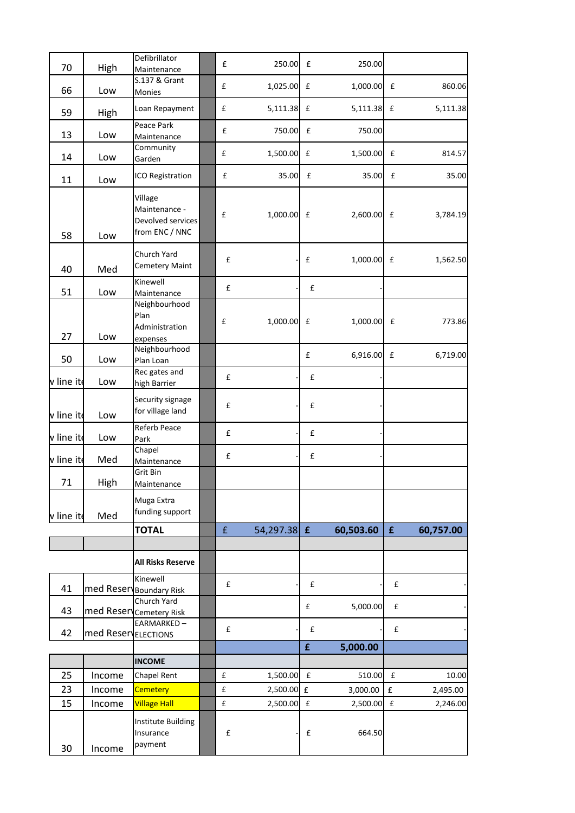| 70                | High                | Defibrillator<br>Maintenance                                    | £                                        | 250.00                   | £                  | 250.00             |                            |           |
|-------------------|---------------------|-----------------------------------------------------------------|------------------------------------------|--------------------------|--------------------|--------------------|----------------------------|-----------|
| 66                | Low                 | S.137 & Grant<br>Monies                                         | £                                        | 1,025.00 £               |                    | 1,000.00           | £                          | 860.06    |
| 59                | High                | Loan Repayment                                                  | £                                        | 5,111.38 £               |                    | 5,111.38           | £                          | 5,111.38  |
| 13                | Low                 | Peace Park<br>Maintenance                                       | £                                        | 750.00                   | £                  | 750.00             |                            |           |
| 14                | Low                 | Community<br>Garden                                             | £                                        | 1,500.00 £               |                    | 1,500.00           | £                          | 814.57    |
| 11                | Low                 | ICO Registration                                                | £                                        | 35.00                    | £                  | 35.00              | £                          | 35.00     |
| 58                | Low                 | Village<br>Maintenance -<br>Devolved services<br>from ENC / NNC | £                                        | $1,000.00$ £             |                    | 2,600.00 £         |                            | 3,784.19  |
| 40                | Med                 | Church Yard<br><b>Cemetery Maint</b>                            | £                                        |                          | £                  | $1,000.00$ £       |                            | 1,562.50  |
| 51                | Low                 | Kinewell<br>Maintenance                                         | £                                        |                          | $\pmb{\mathsf{f}}$ |                    |                            |           |
| 27                | Low                 | Neighbourhood<br>Plan<br>Administration<br>expenses             | £                                        | 1,000.00 £               |                    | 1,000.00           | £                          | 773.86    |
| 50                | Low                 | Neighbourhood<br>Plan Loan                                      |                                          |                          | £                  | 6,916.00           | £                          | 6,719.00  |
| v line ito        | Low                 | Rec gates and<br>high Barrier                                   | £                                        |                          | £                  |                    |                            |           |
| ${\sf v}$ line it | Low                 | Security signage<br>for village land                            | £                                        |                          | £                  |                    |                            |           |
| $\sf v$ line it   | Low                 | Referb Peace<br>Park                                            | $\pmb{\mathsf{f}}$                       |                          | $\pmb{\mathsf{f}}$ |                    |                            |           |
| $\sf v$ line it   | Med                 | Chapel<br>Maintenance                                           | £                                        |                          | $\mathbf f$        |                    |                            |           |
| 71                | High                | Grit Bin<br>Maintenance                                         |                                          |                          |                    |                    |                            |           |
| v line ite        | Med                 | Muga Extra<br>funding support                                   |                                          |                          |                    |                    |                            |           |
|                   |                     | <b>TOTAL</b>                                                    | $\pmb{\mathsf{f}}$                       | 54,297.38 £              |                    | 60,503.60          | $\mathbf{f}$               | 60,757.00 |
|                   |                     | <b>All Risks Reserve</b>                                        |                                          |                          |                    |                    |                            |           |
| 41                | med Reserv          | Kinewell<br><b>Boundary Risk</b>                                | £                                        |                          | £                  |                    | £                          |           |
| 43                | med Reserv          | Church Yard<br><b>Cemetery Risk</b>                             |                                          |                          | £                  | 5,000.00           | $\pmb{\mathsf{f}}$         |           |
| 42                | med ReservELECTIONS | EARMARKED-                                                      | $\pmb{\mathsf{f}}$                       |                          | $\pmb{\mathsf{f}}$ |                    | $\pmb{\mathsf{f}}$         |           |
|                   |                     |                                                                 |                                          |                          | $\hat{\mathbf{f}}$ | 5,000.00           |                            |           |
|                   |                     | <b>INCOME</b>                                                   |                                          |                          |                    |                    |                            |           |
| 25                | Income              | Chapel Rent                                                     | $\pmb{\mathsf{f}}$                       | 1,500.00 £               |                    | 510.00             | $\pmb{\mathsf{f}}$         | 10.00     |
| 23                | Income              | <b>Cemetery</b><br><b>Village Hall</b>                          | $\pmb{\mathsf{f}}$<br>$\pmb{\mathsf{f}}$ | 2,500.00 £<br>2,500.00 £ |                    | 3,000.00           | $\mathbf f$<br>$\mathbf f$ | 2,495.00  |
| 15<br>30          | Income<br>Income    | Institute Building<br>Insurance<br>payment                      | £                                        |                          | £                  | 2,500.00<br>664.50 |                            | 2,246.00  |
|                   |                     |                                                                 |                                          |                          |                    |                    |                            |           |